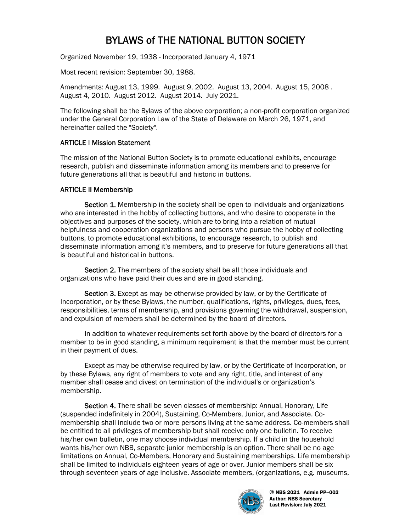# BYLAWS of THE NATIONAL BUTTON SOCIETY

Organized November 19, 1938 - Incorporated January 4, 1971

Most recent revision: September 30, 1988.

Amendments: August 13, 1999. August 9, 2002. August 13, 2004. August 15, 2008 . August 4, 2010. August 2012. August 2014. July 2021.

The following shall be the Bylaws of the above corporation; a non-profit corporation organized under the General Corporation Law of the State of Delaware on March 26, 1971, and hereinafter called the "Society".

#### ARTICLE I Mission Statement

The mission of the National Button Society is to promote educational exhibits, encourage research, publish and disseminate information among its members and to preserve for future generations all that is beautiful and historic in buttons.

#### ARTICLE II Membership

Section 1. Membership in the society shall be open to individuals and organizations who are interested in the hobby of collecting buttons, and who desire to cooperate in the objectives and purposes of the society, which are to bring into a relation of mutual helpfulness and cooperation organizations and persons who pursue the hobby of collecting buttons, to promote educational exhibitions, to encourage research, to publish and disseminate information among it's members, and to preserve for future generations all that is beautiful and historical in buttons.

Section 2. The members of the society shall be all those individuals and organizations who have paid their dues and are in good standing.

Section 3. Except as may be otherwise provided by law, or by the Certificate of Incorporation, or by these Bylaws, the number, qualifications, rights, privileges, dues, fees, responsibilities, terms of membership, and provisions governing the withdrawal, suspension, and expulsion of members shall be determined by the board of directors.

In addition to whatever requirements set forth above by the board of directors for a member to be in good standing, a minimum requirement is that the member must be current in their payment of dues.

Except as may be otherwise required by law, or by the Certificate of Incorporation, or by these Bylaws, any right of members to vote and any right, title, and interest of any member shall cease and divest on termination of the individual's or organization's membership.

Section 4. There shall be seven classes of membership: Annual, Honorary, Life (suspended indefinitely in 2004), Sustaining, Co-Members, Junior, and Associate. Comembership shall include two or more persons living at the same address. Co-members shall be entitled to all privileges of membership but shall receive only one bulletin. To receive his/her own bulletin, one may choose individual membership. If a child in the household wants his/her own NBB, separate junior membership is an option. There shall be no age limitations on Annual, Co-Members, Honorary and Sustaining memberships. Life membership shall be limited to individuals eighteen years of age or over. Junior members shall be six through seventeen years of age inclusive. Associate members, (organizations, e.g. museums,

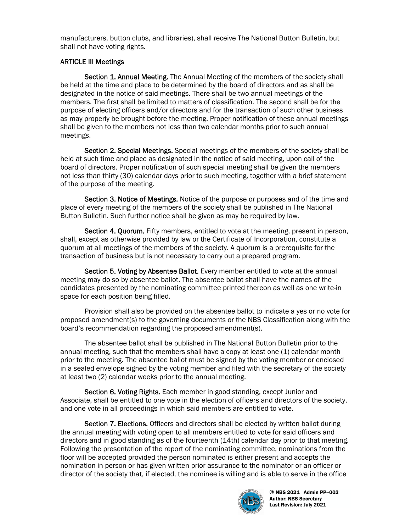manufacturers, button clubs, and libraries), shall receive The National Button Bulletin, but shall not have voting rights.

#### ARTICLE III Meetings

Section 1. Annual Meeting. The Annual Meeting of the members of the society shall be held at the time and place to be determined by the board of directors and as shall be designated in the notice of said meetings. There shall be two annual meetings of the members. The first shall be limited to matters of classification. The second shall be for the purpose of electing officers and/or directors and for the transaction of such other business as may properly be brought before the meeting. Proper notification of these annual meetings shall be given to the members not less than two calendar months prior to such annual meetings.

Section 2. Special Meetings. Special meetings of the members of the society shall be held at such time and place as designated in the notice of said meeting, upon call of the board of directors. Proper notification of such special meeting shall be given the members not less than thirty (30) calendar days prior to such meeting, together with a brief statement of the purpose of the meeting.

Section 3. Notice of Meetings. Notice of the purpose or purposes and of the time and place of every meeting of the members of the society shall be published in The National Button Bulletin. Such further notice shall be given as may be required by law.

Section 4. Quorum. Fifty members, entitled to vote at the meeting, present in person, shall, except as otherwise provided by law or the Certificate of Incorporation, constitute a quorum at all meetings of the members of the society. A quorum is a prerequisite for the transaction of business but is not necessary to carry out a prepared program.

Section 5. Voting by Absentee Ballot. Every member entitled to vote at the annual meeting may do so by absentee ballot. The absentee ballot shall have the names of the candidates presented by the nominating committee printed thereon as well as one write-in space for each position being filled.

Provision shall also be provided on the absentee ballot to indicate a yes or no vote for proposed amendment(s) to the governing documents or the NBS Classification along with the board's recommendation regarding the proposed amendment(s).

The absentee ballot shall be published in The National Button Bulletin prior to the annual meeting, such that the members shall have a copy at least one (1) calendar month prior to the meeting. The absentee ballot must be signed by the voting member or enclosed in a sealed envelope signed by the voting member and filed with the secretary of the society at least two (2) calendar weeks prior to the annual meeting.

Section 6. Voting Rights. Each member in good standing, except Junior and Associate, shall be entitled to one vote in the election of officers and directors of the society, and one vote in all proceedings in which said members are entitled to vote.

Section 7. Elections. Officers and directors shall be elected by written ballot during the annual meeting with voting open to all members entitled to vote for said officers and directors and in good standing as of the fourteenth (14th) calendar day prior to that meeting. Following the presentation of the report of the nominating committee, nominations from the floor will be accepted provided the person nominated is either present and accepts the nomination in person or has given written prior assurance to the nominator or an officer or director of the society that, if elected, the nominee is willing and is able to serve in the office

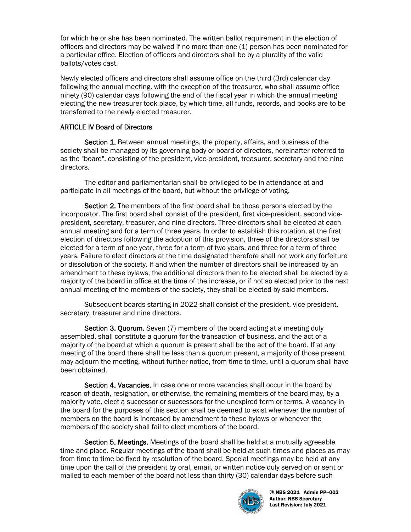for which he or she has been nominated. The written ballot requirement in the election of officers and directors may be waived if no more than one (1) person has been nominated for a particular office. Election of officers and directors shall be by a plurality of the valid ballots/votes cast.

Newly elected officers and directors shall assume office on the third (3rd) calendar day following the annual meeting, with the exception of the treasurer, who shall assume office ninety (90) calendar days following the end of the fiscal year in which the annual meeting electing the new treasurer took place, by which time, all funds, records, and books are to be transferred to the newly elected treasurer.

## ARTICLE IV Board of Directors

Section 1. Between annual meetings, the property, affairs, and business of the society shall be managed by its governing body or board of directors, hereinafter referred to as the "board", consisting of the president, vice-president, treasurer, secretary and the nine directors.

The editor and parliamentarian shall be privileged to be in attendance at and participate in all meetings of the board, but without the privilege of voting.

Section 2. The members of the first board shall be those persons elected by the incorporator. The first board shall consist of the president, first vice-president, second vicepresident, secretary, treasurer, and nine directors. Three directors shall be elected at each annual meeting and for a term of three years. In order to establish this rotation, at the first election of directors following the adoption of this provision, three of the directors shall be elected for a term of one year, three for a term of two years, and three for a term of three years. Failure to elect directors at the time designated therefore shall not work any forfeiture or dissolution of the society. If and when the number of directors shall be increased by an amendment to these bylaws, the additional directors then to be elected shall be elected by a majority of the board in office at the time of the increase, or if not so elected prior to the next annual meeting of the members of the society, they shall be elected by said members.

Subsequent boards starting in 2022 shall consist of the president, vice president, secretary, treasurer and nine directors.

Section 3. Quorum. Seven (7) members of the board acting at a meeting duly assembled, shall constitute a quorum for the transaction of business, and the act of a majority of the board at which a quorum is present shall be the act of the board. If at any meeting of the board there shall be less than a quorum present, a majority of those present may adjourn the meeting, without further notice, from time to time, until a quorum shall have been obtained.

Section 4. Vacancies. In case one or more vacancies shall occur in the board by reason of death, resignation, or otherwise, the remaining members of the board may, by a majority vote, elect a successor or successors for the unexpired term or terms. A vacancy in the board for the purposes of this section shall be deemed to exist whenever the number of members on the board is increased by amendment to these bylaws or whenever the members of the society shall fail to elect members of the board.

Section 5. Meetings. Meetings of the board shall be held at a mutually agreeable time and place. Regular meetings of the board shall be held at such times and places as may from time to time be fixed by resolution of the board. Special meetings may be held at any time upon the call of the president by oral, email, or written notice duly served on or sent or mailed to each member of the board not less than thirty (30) calendar days before such

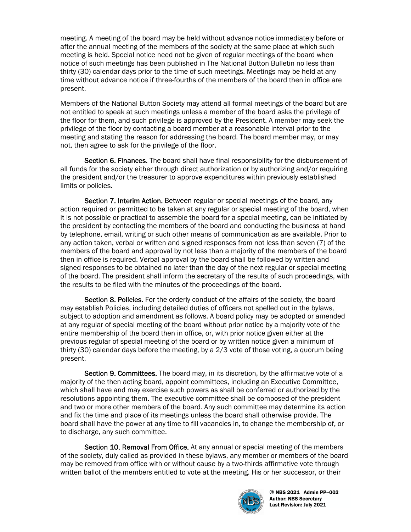meeting. A meeting of the board may be held without advance notice immediately before or after the annual meeting of the members of the society at the same place at which such meeting is held. Special notice need not be given of regular meetings of the board when notice of such meetings has been published in The National Button Bulletin no less than thirty (30) calendar days prior to the time of such meetings. Meetings may be held at any time without advance notice if three-fourths of the members of the board then in office are present.

Members of the National Button Society may attend all formal meetings of the board but are not entitled to speak at such meetings unless a member of the board asks the privilege of the floor for them, and such privilege is approved by the President. A member may seek the privilege of the floor by contacting a board member at a reasonable interval prior to the meeting and stating the reason for addressing the board. The board member may, or may not, then agree to ask for the privilege of the floor.

Section 6. Finances. The board shall have final responsibility for the disbursement of all funds for the society either through direct authorization or by authorizing and/or requiring the president and/or the treasurer to approve expenditures within previously established limits or policies.

Section 7. Interim Action. Between regular or special meetings of the board, any action required or permitted to be taken at any regular or special meeting of the board, when it is not possible or practical to assemble the board for a special meeting, can be initiated by the president by contacting the members of the board and conducting the business at hand by telephone, email, writing or such other means of communication as are available. Prior to any action taken, verbal or written and signed responses from not less than seven (7) of the members of the board and approval by not less than a majority of the members of the board then in office is required. Verbal approval by the board shall be followed by written and signed responses to be obtained no later than the day of the next regular or special meeting of the board. The president shall inform the secretary of the results of such proceedings, with the results to be filed with the minutes of the proceedings of the board.

Section 8. Policies. For the orderly conduct of the affairs of the society, the board may establish Policies, including detailed duties of officers not spelled out in the bylaws, subject to adoption and amendment as follows. A board policy may be adopted or amended at any regular of special meeting of the board without prior notice by a majority vote of the entire membership of the board then in office, or, with prior notice given either at the previous regular of special meeting of the board or by written notice given a minimum of thirty (30) calendar days before the meeting, by a 2/3 vote of those voting, a quorum being present.

Section 9. Committees. The board may, in its discretion, by the affirmative vote of a majority of the then acting board, appoint committees, including an Executive Committee, which shall have and may exercise such powers as shall be conferred or authorized by the resolutions appointing them. The executive committee shall be composed of the president and two or more other members of the board. Any such committee may determine its action and fix the time and place of its meetings unless the board shall otherwise provide. The board shall have the power at any time to fill vacancies in, to change the membership of, or to discharge, any such committee.

Section 10. Removal From Office. At any annual or special meeting of the members of the society, duly called as provided in these bylaws, any member or members of the board may be removed from office with or without cause by a two-thirds affirmative vote through written ballot of the members entitled to vote at the meeting. His or her successor, or their

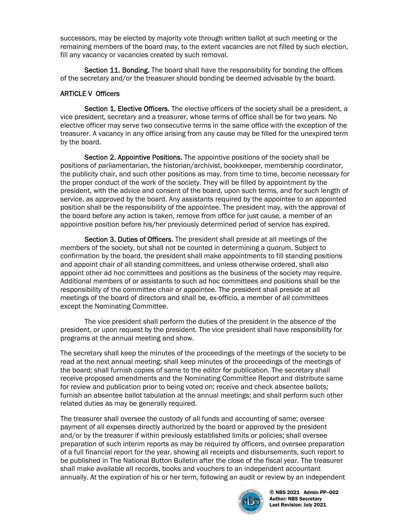successors, may be elected by majority vote through written ballot at such meeting or the remaining members of the board may, to the extent vacancies are not filled by such election, fill any vacancy or vacancies created by such removal.

Section 11. Bonding. The board shall have the responsibility for bonding the offices of the secretary and/or the treasurer should bonding be deemed advisable by the board.

## ARTICLE V Officers

Section 1. Elective Officers. The elective officers of the society shall be a president, a vice president, secretary and a treasurer, whose terms of office shall be for two years. No elective officer may serve two consecutive terms in the same office with the exception of the treasurer. A vacancy in any office arising from any cause may be filled for the unexpired term by the board.

Section 2. Appointive Positions. The appointive positions of the society shall be positions of parliamentarian, the historian/archivist, bookkeeper, membership coordinator, the publicity chair, and such other positions as may, from time to time, become necessary for the proper conduct of the work of the society. They will be filled by appointment by the president, with the advice and consent of the board, upon such terms, and for such length of service, as approved by the board. Any assistants required by the appointee to an appointed position shall be the responsibility of the appointee. The president may, with the approval of the board before any action is taken, remove from office for just cause, a member of an appointive position before his/her previously determined period of service has expired.

Section 3. Duties of Officers. The president shall preside at all meetings of the members of the society, but shall not be counted in determining a quorum. Subject to confirmation by the board, the president shall make appointments to fill standing positions and appoint chair of all standing committees, and unless otherwise ordered, shall also appoint other ad hoc committees and positions as the business of the society may require. Additional members of or assistants to such ad hoc committees and positions shall be the responsibility of the committee chair or appointee. The president shall preside at all meetings of the board of directors and shall be, ex-officio, a member of all committees except the Nominating Committee.

The vice president shall perform the duties of the president in the absence of the president, or upon request by the president. The vice president shall have responsibility for programs at the annual meeting and show.

The secretary shall keep the minutes of the proceedings of the meetings of the society to be read at the next annual meeting; shall keep minutes of the proceedings of the meetings of the board; shall furnish copies of same to the editor for publication. The secretary shall receive proposed amendments and the Nominating Committee Report and distribute same for review and publication prior to being voted on; receive and check absentee ballots; furnish an absentee ballot tabulation at the annual meetings; and shall perform such other related duties as may be generally required.

The treasurer shall oversee the custody of all funds and accounting of same; oversee payment of all expenses directly authorized by the board or approved by the president and/or by the treasurer if within previously established limits or policies; shall oversee preparation of such interim reports as may be required by officers, and oversee preparation of a full financial report for the year, showing all receipts and disbursements, such report to be published in The National Button Bulletin after the close of the fiscal year. The treasurer shall make available all records, books and vouchers to an independent accountant annually. At the expiration of his or her term, following an audit or review by an independent

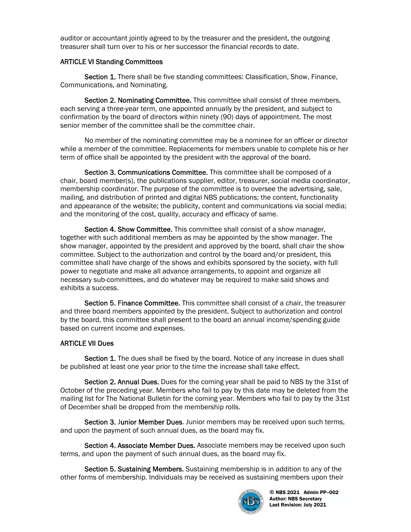auditor or accountant jointly agreed to by the treasurer and the president, the outgoing treasurer shall turn over to his or her successor the financial records to date.

#### ARTICLE VI Standing Committees

Section 1. There shall be five standing committees: Classification, Show, Finance, Communications, and Nominating.

Section 2. Nominating Committee. This committee shall consist of three members, each serving a three-year term, one appointed annually by the president, and subject to confirmation by the board of directors within ninety (90) days of appointment. The most senior member of the committee shall be the committee chair.

No member of the nominating committee may be a nominee for an officer or director while a member of the committee. Replacements for members unable to complete his or her term of office shall be appointed by the president with the approval of the board.

Section 3. Communications Committee. This committee shall be composed of a chair, board member(s), the publications supplier, editor, treasurer, social media coordinator, membership coordinator. The purpose of the committee is to oversee the advertising, sale, mailing, and distribution of printed and digital NBS publications; the content, functionality and appearance of the website; the publicity, content and communications via social media; and the monitoring of the cost, quality, accuracy and efficacy of same.

Section 4. Show Committee. This committee shall consist of a show manager, together with such additional members as may be appointed by the show manager. The show manager, appointed by the president and approved by the board, shall chair the show committee. Subject to the authorization and control by the board and/or president, this committee shall have charge of the shows and exhibits sponsored by the society, with full power to negotiate and make all advance arrangements, to appoint and organize all necessary sub-committees, and do whatever may be required to make said shows and exhibits a success.

Section 5. Finance Committee. This committee shall consist of a chair, the treasurer and three board members appointed by the president. Subject to authorization and control by the board, this committee shall present to the board an annual income/spending guide based on current income and expenses.

# ARTICLE VII Dues

Section 1. The dues shall be fixed by the board. Notice of any increase in dues shall be published at least one year prior to the time the increase shall take effect.

Section 2. Annual Dues. Dues for the coming year shall be paid to NBS by the 31st of October of the preceding year. Members who fail to pay by this date may be deleted from the mailing list for The National Bulletin for the coming year. Members who fail to pay by the 31st of December shall be dropped from the membership rolls.

Section 3. Junior Member Dues. Junior members may be received upon such terms, and upon the payment of such annual dues, as the board may fix.

Section 4. Associate Member Dues. Associate members may be received upon such terms, and upon the payment of such annual dues, as the board may fix.

Section 5. Sustaining Members. Sustaining membership is in addition to any of the other forms of membership. Individuals may be received as sustaining members upon their

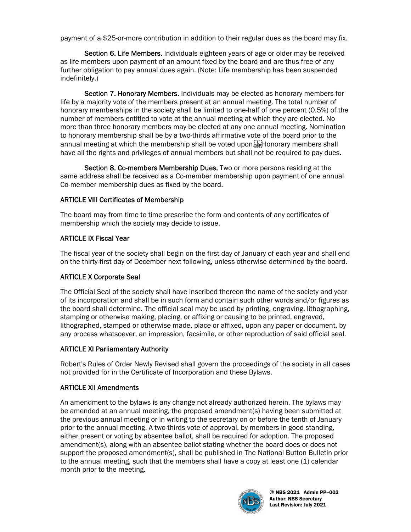payment of a \$25-or-more contribution in addition to their regular dues as the board may fix.

Section 6. Life Members. Individuals eighteen years of age or older may be received as life members upon payment of an amount fixed by the board and are thus free of any further obligation to pay annual dues again. (Note: Life membership has been suspended indefinitely.)

Section 7. Honorary Members. Individuals may be elected as honorary members for life by a majority vote of the members present at an annual meeting. The total number of honorary memberships in the society shall be limited to one-half of one percent (0.5%) of the number of members entitled to vote at the annual meeting at which they are elected. No more than three honorary members may be elected at any one annual meeting. Nomination to honorary membership shall be by a two-thirds affirmative vote of the board prior to the annual meeting at which the membership shall be voted upon. have all the rights and privileges of annual members but shall not be required to pay dues.

Section 8. Co-members Membership Dues. Two or more persons residing at the same address shall be received as a Co-member membership upon payment of one annual Co-member membership dues as fixed by the board.

#### ARTICLE VIII Certificates of Membership

The board may from time to time prescribe the form and contents of any certificates of membership which the society may decide to issue.

## ARTICLE IX Fiscal Year

The fiscal year of the society shall begin on the first day of January of each year and shall end on the thirty-first day of December next following, unless otherwise determined by the board.

# ARTICLE X Corporate Seal

The Official Seal of the society shall have inscribed thereon the name of the society and year of its incorporation and shall be in such form and contain such other words and/or figures as the board shall determine. The official seal may be used by printing, engraving, lithographing, stamping or otherwise making, placing, or affixing or causing to be printed, engraved, lithographed, stamped or otherwise made, place or affixed, upon any paper or document, by any process whatsoever, an impression, facsimile, or other reproduction of said official seal.

# ARTICLE XI Parliamentary Authority

Robert's Rules of Order Newly Revised shall govern the proceedings of the society in all cases not provided for in the Certificate of Incorporation and these Bylaws.

# ARTICLE XII Amendments

An amendment to the bylaws is any change not already authorized herein. The bylaws may be amended at an annual meeting, the proposed amendment(s) having been submitted at the previous annual meeting or in writing to the secretary on or before the tenth of January prior to the annual meeting. A two-thirds vote of approval, by members in good standing, either present or voting by absentee ballot, shall be required for adoption. The proposed amendment(s), along with an absentee ballot stating whether the board does or does not support the proposed amendment(s), shall be published in The National Button Bulletin prior to the annual meeting, such that the members shall have a copy at least one (1) calendar month prior to the meeting.